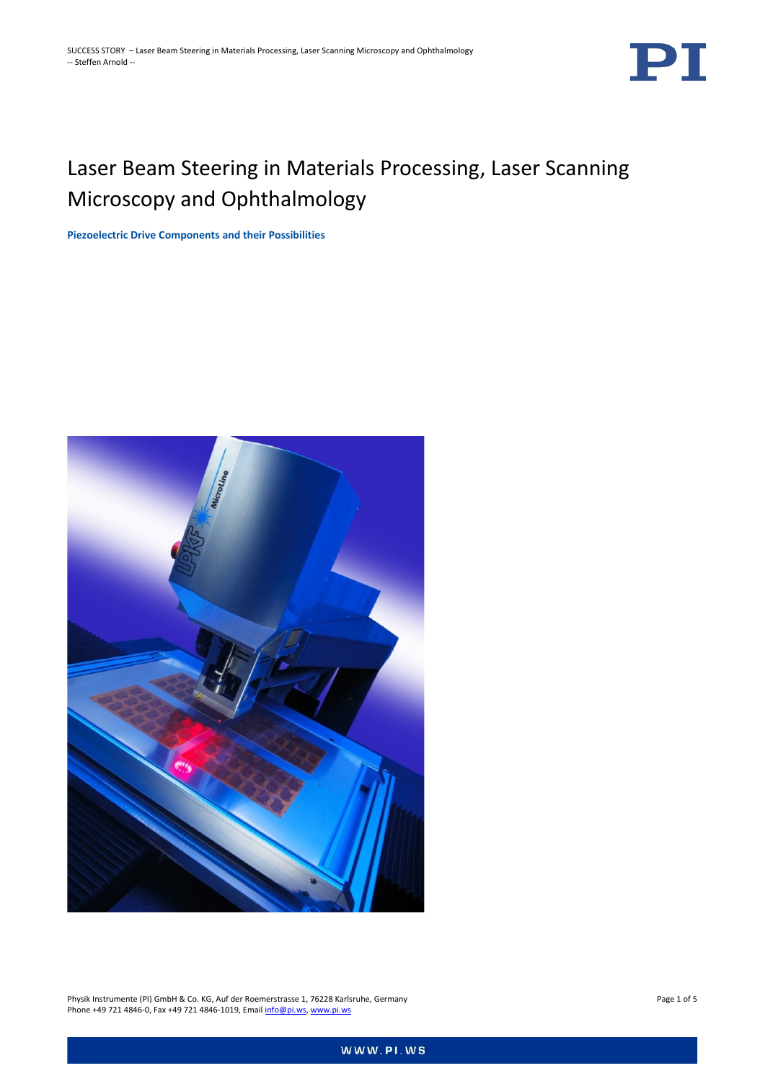

# Laser Beam Steering in Materials Processing, Laser Scanning Microscopy and Ophthalmology

**Piezoelectric Drive Components and their Possibilities**



Physik Instrumente (PI) GmbH & Co. KG, Auf der Roemerstrasse 1, 76228 Karlsruhe, Germany Page 1 of 5 Phone +49 721 4846-0, Fax +49 721 4846-1019, Emai[l info@pi.ws,](mailto:info@pi.ws) [www.pi.ws](http://www.pi.ws/)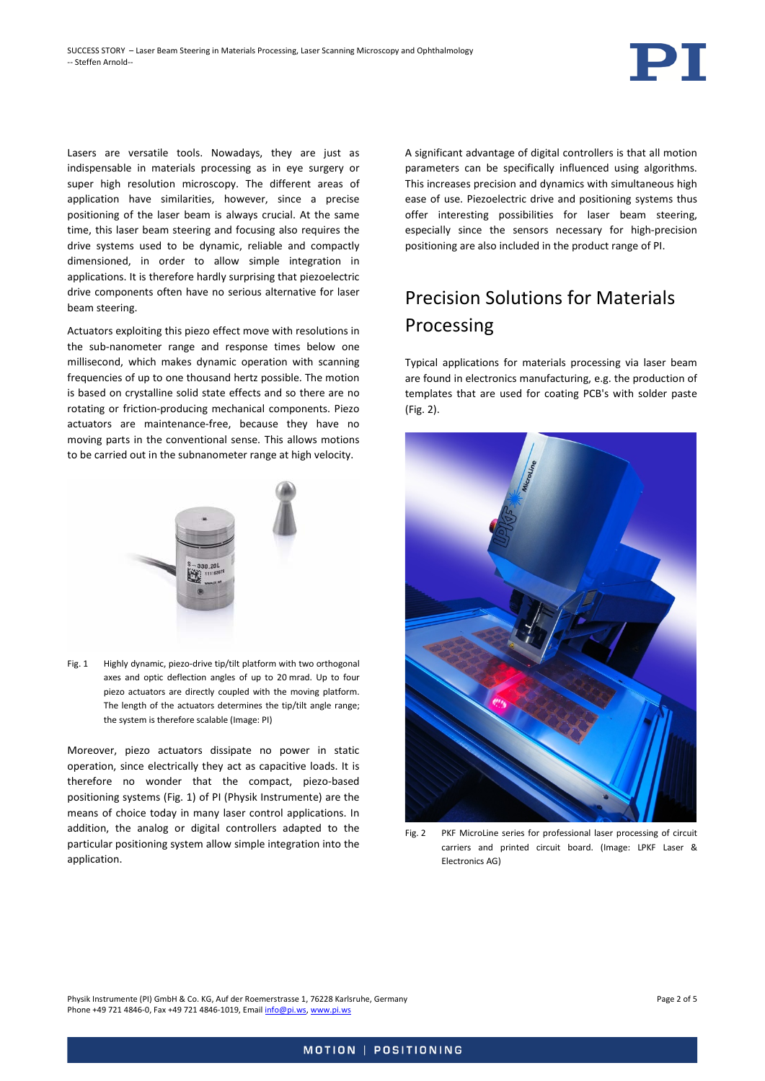

Lasers are versatile tools. Nowadays, they are just as indispensable in materials processing as in eye surgery or super high resolution microscopy. The different areas of application have similarities, however, since a precise positioning of the laser beam is always crucial. At the same time, this laser beam steering and focusing also requires the drive systems used to be dynamic, reliable and compactly dimensioned, in order to allow simple integration in applications. It is therefore hardly surprising that piezoelectric drive components often have no serious alternative for laser beam steering.

Actuators exploiting this piezo effect move with resolutions in the sub-nanometer range and response times below one millisecond, which makes dynamic operation with scanning frequencies of up to one thousand hertz possible. The motion is based on crystalline solid state effects and so there are no rotating or friction-producing mechanical components. Piezo actuators are maintenance-free, because they have no moving parts in the conventional sense. This allows motions to be carried out in the subnanometer range at high velocity.



<span id="page-1-0"></span>Fig. 1 Highly dynamic, piezo-drive tip/tilt platform with two orthogonal axes and optic deflection angles of up to 20 mrad. Up to four piezo actuators are directly coupled with the moving platform. The length of the actuators determines the tip/tilt angle range; the system is therefore scalable (Image: PI)

<span id="page-1-1"></span>Moreover, piezo actuators dissipate no power in static operation, since electrically they act as capacitive loads. It is therefore no wonder that the compact, piezo-based positioning systems [\(Fig. 1\)](#page-1-0) of PI (Physik Instrumente) are the means of choice today in many laser control applications. In addition, the analog or digital controllers adapted to the particular positioning system allow simple integration into the application.

A significant advantage of digital controllers is that all motion parameters can be specifically influenced using algorithms. This increases precision and dynamics with simultaneous high ease of use. Piezoelectric drive and positioning systems thus offer interesting possibilities for laser beam steering, especially since the sensors necessary for high-precision positioning are also included in the product range of PI.

### Precision Solutions for Materials Processing

Typical applications for materials processing via laser beam are found in electronics manufacturing, e.g. the production of templates that are used for coating PCB's with solder paste [\(Fig. 2\)](#page-1-1).



Fig. 2 PKF MicroLine series for professional laser processing of circuit carriers and printed circuit board. (Image: LPKF Laser & Electronics AG)

Physik Instrumente (PI) GmbH & Co. KG, Auf der Roemerstrasse 1, 76228 Karlsruhe, Germany Page 2 of 5 Phone +49 721 4846-0, Fax +49 721 4846-1019, Emai[l info@pi.ws,](mailto:info@pi.ws) [www.pi.ws](http://www.pi.ws/)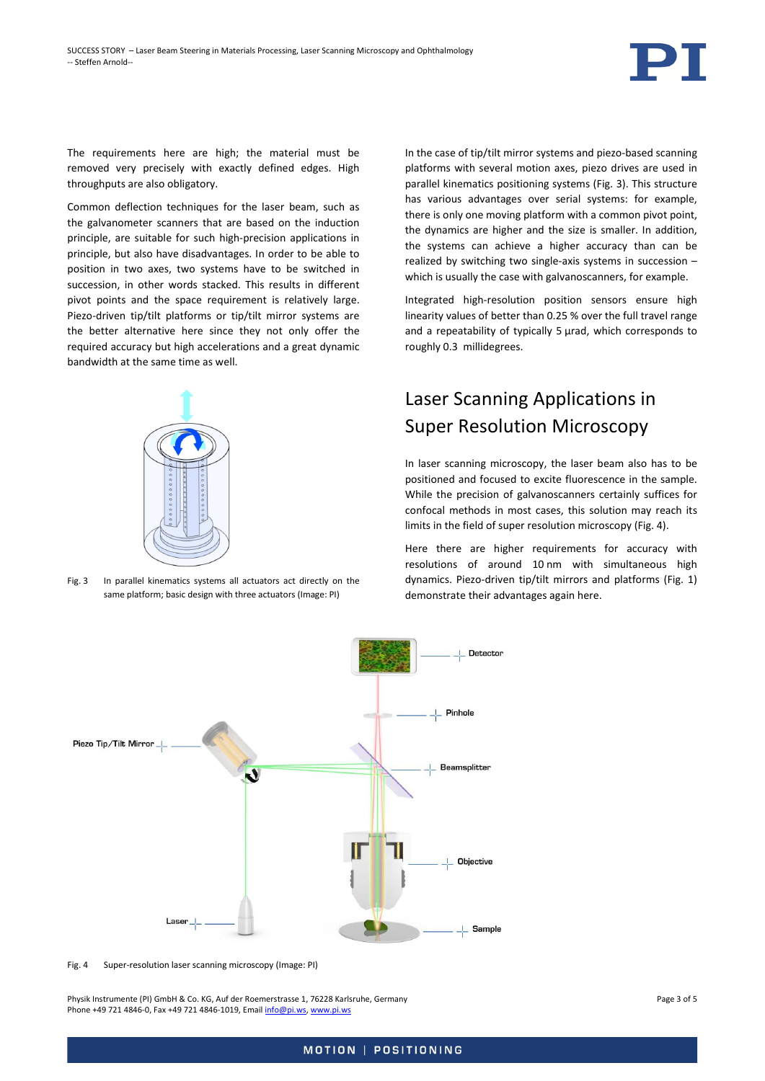

The requirements here are high; the material must be removed very precisely with exactly defined edges. High throughputs are also obligatory.

Common deflection techniques for the laser beam, such as the galvanometer scanners that are based on the induction principle, are suitable for such high-precision applications in principle, but also have disadvantages. In order to be able to position in two axes, two systems have to be switched in succession, in other words stacked. This results in different pivot points and the space requirement is relatively large. Piezo-driven tip/tilt platforms or tip/tilt mirror systems are the better alternative here since they not only offer the required accuracy but high accelerations and a great dynamic bandwidth at the same time as well.



Fig. 3 In parallel kinematics systems all actuators act directly on the same platform; basic design with three actuators (Image: PI)

In the case of tip/tilt mirror systems and piezo-based scanning platforms with several motion axes, piezo drives are used in parallel kinematics positioning systems [\(Fig. 3\)](#page-2-0). This structure has various advantages over serial systems: for example, there is only one moving platform with a common pivot point, the dynamics are higher and the size is smaller. In addition, the systems can achieve a higher accuracy than can be realized by switching two single-axis systems in succession – which is usually the case with galvanoscanners, for example.

Integrated high-resolution position sensors ensure high linearity values of better than 0.25 % over the full travel range and a repeatability of typically 5 urad, which corresponds to roughly 0.3 millidegrees.

#### Laser Scanning Applications in Super Resolution Microscopy

In laser scanning microscopy, the laser beam also has to be positioned and focused to excite fluorescence in the sample. While the precision of galvanoscanners certainly suffices for confocal methods in most cases, this solution may reach its limits in the field of super resolution microscopy [\(Fig. 4\)](#page-2-1).

Here there are higher requirements for accuracy with resolutions of around 10 nm with simultaneous high dynamics. Piezo-driven tip/tilt mirrors and platforms [\(Fig. 1\)](#page-1-0) demonstrate their advantages again here.

<span id="page-2-0"></span>

<span id="page-2-1"></span>Fig. 4 Super-resolution laser scanning microscopy (Image: PI)

Physik Instrumente (PI) GmbH & Co. KG, Auf der Roemerstrasse 1, 76228 Karlsruhe, Germany Page 3 of 5 Phone +49 721 4846-0, Fax +49 721 4846-1019, Emai[l info@pi.ws,](mailto:info@pi.ws) [www.pi.ws](http://www.pi.ws/)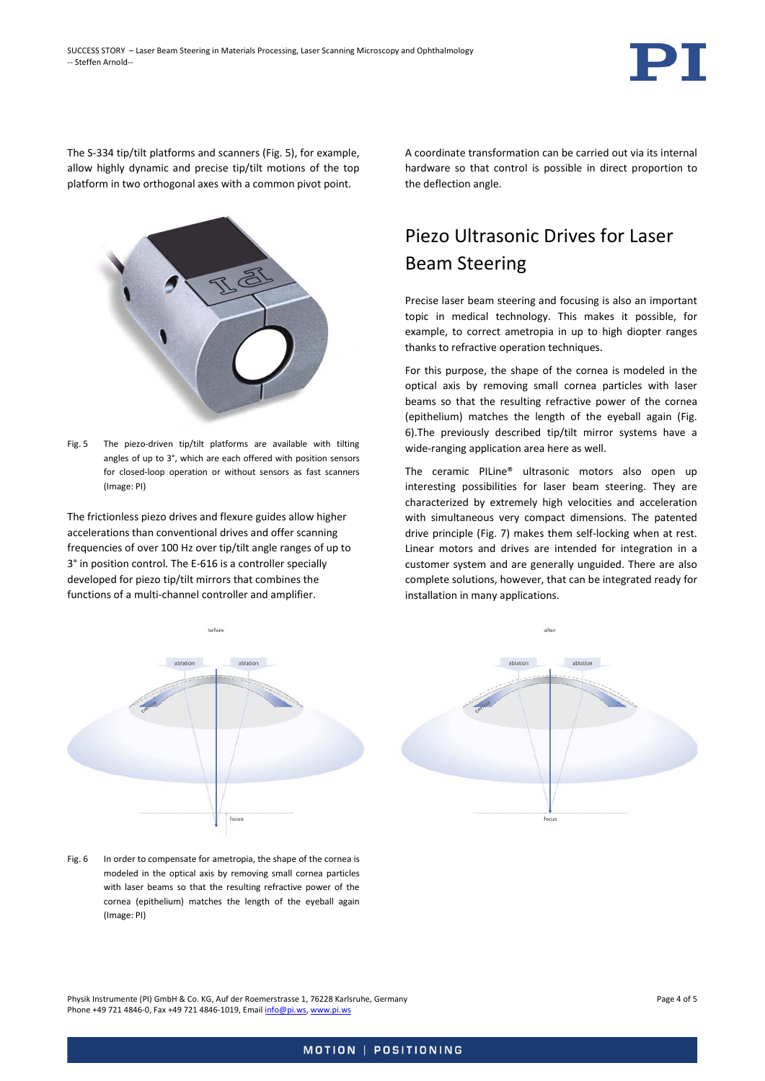

The S-334 tip/tilt platforms and scanners [\(Fig. 5\)](#page-3-0), for example, allow highly dynamic and precise tip/tilt motions of the top platform in two orthogonal axes with a common pivot point.



<span id="page-3-0"></span>Fig. 5 The piezo-driven tip/tilt platforms are available with tilting angles of up to 3°, which are each offered with position sensors for closed-loop operation or without sensors as fast scanners (Image: PI)

The frictionless piezo drives and flexure guides allow higher accelerations than conventional drives and offer scanning frequencies of over 100 Hz over tip/tilt angle ranges of up to 3° in position control. The E-616 is a controller specially developed for piezo tip/tilt mirrors that combines the functions of a multi-channel controller and amplifier.

A coordinate transformation can be carried out via its internal hardware so that control is possible in direct proportion to the deflection angle.

## Piezo Ultrasonic Drives for Laser Beam Steering

Precise laser beam steering and focusing is also an important topic in medical technology. This makes it possible, for example, to correct ametropia in up to high diopter ranges thanks to refractive operation techniques.

For this purpose, the shape of the cornea is modeled in the optical axis by removing small cornea particles with laser beams so that the resulting refractive power of the cornea (epithelium) matches the length of the eyeball again [\(Fig.](#page-3-1)  [6\)](#page-3-1).The previously described tip/tilt mirror systems have a wide-ranging application area here as well.

The ceramic PILine® ultrasonic motors also open up interesting possibilities for laser beam steering. They are characterized by extremely high velocities and acceleration with simultaneous very compact dimensions. The patented drive principle [\(Fig. 7\)](#page-4-0) makes them self-locking when at rest. Linear motors and drives are intended for integration in a customer system and are generally unguided. There are also complete solutions, however, that can be integrated ready for installation in many applications.



<span id="page-3-1"></span>Fig. 6 In order to compensate for ametropia, the shape of the cornea is modeled in the optical axis by removing small cornea particles with laser beams so that the resulting refractive power of the cornea (epithelium) matches the length of the eyeball again (Image: PI)

Physik Instrumente (PI) GmbH & Co. KG, Auf der Roemerstrasse 1, 76228 Karlsruhe, Germany Page 4 of 5 Phone +49 721 4846-0, Fax +49 721 4846-1019, Emai[l info@pi.ws,](mailto:info@pi.ws) [www.pi.ws](http://www.pi.ws/)